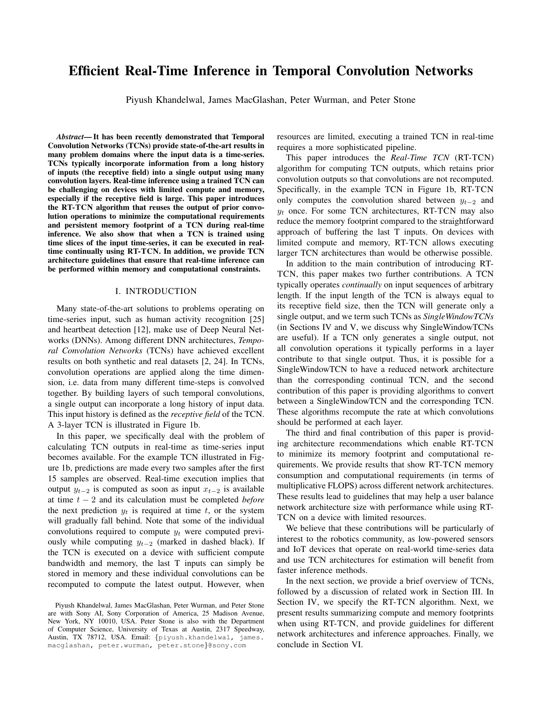# Efficient Real-Time Inference in Temporal Convolution Networks

Piyush Khandelwal, James MacGlashan, Peter Wurman, and Peter Stone

*Abstract*— It has been recently demonstrated that Temporal Convolution Networks (TCNs) provide state-of-the-art results in many problem domains where the input data is a time-series. TCNs typically incorporate information from a long history of inputs (the receptive field) into a single output using many convolution layers. Real-time inference using a trained TCN can be challenging on devices with limited compute and memory, especially if the receptive field is large. This paper introduces the RT-TCN algorithm that reuses the output of prior convolution operations to minimize the computational requirements and persistent memory footprint of a TCN during real-time inference. We also show that when a TCN is trained using time slices of the input time-series, it can be executed in realtime continually using RT-TCN. In addition, we provide TCN architecture guidelines that ensure that real-time inference can be performed within memory and computational constraints.

#### I. INTRODUCTION

Many state-of-the-art solutions to problems operating on time-series input, such as human activity recognition [25] and heartbeat detection [12], make use of Deep Neural Networks (DNNs). Among different DNN architectures, *Temporal Convolution Networks* (TCNs) have achieved excellent results on both synthetic and real datasets [2, 24]. In TCNs, convolution operations are applied along the time dimension, i.e. data from many different time-steps is convolved together. By building layers of such temporal convolutions, a single output can incorporate a long history of input data. This input history is defined as the *receptive field* of the TCN. A 3-layer TCN is illustrated in Figure 1b.

In this paper, we specifically deal with the problem of calculating TCN outputs in real-time as time-series input becomes available. For the example TCN illustrated in Figure 1b, predictions are made every two samples after the first 15 samples are observed. Real-time execution implies that output  $y_{t-2}$  is computed as soon as input  $x_{t-2}$  is available at time t − 2 and its calculation must be completed *before* the next prediction  $y_t$  is required at time t, or the system will gradually fall behind. Note that some of the individual convolutions required to compute  $y_t$  were computed previously while computing  $y_{t-2}$  (marked in dashed black). If the TCN is executed on a device with sufficient compute bandwidth and memory, the last T inputs can simply be stored in memory and these individual convolutions can be recomputed to compute the latest output. However, when

resources are limited, executing a trained TCN in real-time requires a more sophisticated pipeline.

This paper introduces the *Real-Time TCN* (RT-TCN) algorithm for computing TCN outputs, which retains prior convolution outputs so that convolutions are not recomputed. Specifically, in the example TCN in Figure 1b, RT-TCN only computes the convolution shared between  $y_{t-2}$  and  $y_t$  once. For some TCN architectures, RT-TCN may also reduce the memory footprint compared to the straightforward approach of buffering the last T inputs. On devices with limited compute and memory, RT-TCN allows executing larger TCN architectures than would be otherwise possible.

In addition to the main contribution of introducing RT-TCN, this paper makes two further contributions. A TCN typically operates *continually* on input sequences of arbitrary length. If the input length of the TCN is always equal to its receptive field size, then the TCN will generate only a single output, and we term such TCNs as *SingleWindowTCNs* (in Sections IV and V, we discuss why SingleWindowTCNs are useful). If a TCN only generates a single output, not all convolution operations it typically performs in a layer contribute to that single output. Thus, it is possible for a SingleWindowTCN to have a reduced network architecture than the corresponding continual TCN, and the second contribution of this paper is providing algorithms to convert between a SingleWindowTCN and the corresponding TCN. These algorithms recompute the rate at which convolutions should be performed at each layer.

The third and final contribution of this paper is providing architecture recommendations which enable RT-TCN to minimize its memory footprint and computational requirements. We provide results that show RT-TCN memory consumption and computational requirements (in terms of multiplicative FLOPS) across different network architectures. These results lead to guidelines that may help a user balance network architecture size with performance while using RT-TCN on a device with limited resources.

We believe that these contributions will be particularly of interest to the robotics community, as low-powered sensors and IoT devices that operate on real-world time-series data and use TCN architectures for estimation will benefit from faster inference methods.

In the next section, we provide a brief overview of TCNs, followed by a discussion of related work in Section III. In Section IV, we specify the RT-TCN algorithm. Next, we present results summarizing compute and memory footprints when using RT-TCN, and provide guidelines for different network architectures and inference approaches. Finally, we conclude in Section VI.

Piyush Khandelwal, James MacGlashan, Peter Wurman, and Peter Stone are with Sony AI, Sony Corporation of America, 25 Madison Avenue, New York, NY 10010, USA. Peter Stone is also with the Department of Computer Science, University of Texas at Austin, 2317 Speedway, Austin, TX 78712, USA. Email: {piyush.khandelwal, james. macglashan, peter.wurman, peter.stone}@sony.com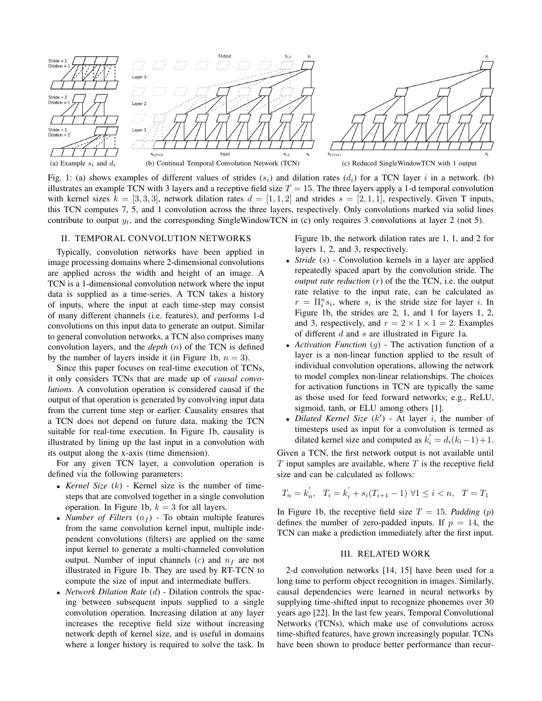



Fig. 1: (a) shows examples of different values of strides  $(s_i)$  and dilation rates  $(d_i)$  for a TCN layer i in a network. (b) illustrates an example TCN with 3 layers and a receptive field size  $T = 15$ . The three layers apply a 1-d temporal convolution with kernel sizes  $k = [3, 3, 3]$ , network dilation rates  $d = [1, 1, 2]$  and strides  $s = [2, 1, 1]$ , respectively. Given T inputs, this TCN computes 7, 5, and 1 convolution across the three layers, respectively. Only convolutions marked via solid lines contribute to output  $y_t$ , and the corresponding SingleWindowTCN in (c) only requires 3 convolutions at layer 2 (not 5).

## II. TEMPORAL CONVOLUTION NETWORKS

Typically, convolution networks have been applied in image processing domains where 2-dimensional convolutions are applied across the width and height of an image. A TCN is a 1-dimensional convolution network where the input data is supplied as a time-series. A TCN takes a history of inputs, where the input at each time-step may consist of many different channels (i.e. features), and performs 1-d convolutions on this input data to generate an output. Similar to general convolution networks, a TCN also comprises many convolution layers, and the *depth* (n) of the TCN is defined by the number of layers inside it (in Figure 1b,  $n = 3$ ).

Since this paper focuses on real-time execution of TCNs, it only considers TCNs that are made up of *causal convolutions*. A convolution operation is considered causal if the output of that operation is generated by convolving input data from the current time step or earlier. Causality ensures that a TCN does not depend on future data, making the TCN suitable for real-time execution. In Figure 1b, causality is illustrated by lining up the last input in a convolution with its output along the x-axis (time dimension).

For any given TCN layer, a convolution operation is defined via the following parameters:

- *Kernel Size* (k) Kernel size is the number of timesteps that are convolved together in a single convolution operation. In Figure 1b,  $k = 3$  for all layers.
- *Number of Filters*  $(n_f)$  To obtain multiple features from the same convolution kernel input, multiple independent convolutions (filters) are applied on the same input kernel to generate a multi-channeled convolution output. Number of input channels  $(c)$  and  $n_f$  are not illustrated in Figure 1b. They are used by RT-TCN to compute the size of input and intermediate buffers.
- *Network Dilation Rate* (d) Dilation controls the spacing between subsequent inputs supplied to a single convolution operation. Increasing dilation at any layer increases the receptive field size without increasing network depth of kernel size, and is useful in domains where a longer history is required to solve the task. In

Figure 1b, the network dilation rates are 1, 1, and 2 for layers 1, 2, and 3, respectively.

- *Stride* (s) Convolution kernels in a layer are applied repeatedly spaced apart by the convolution stride. The *output rate reduction*  $(r)$  of the the TCN, i.e. the output rate relative to the input rate, can be calculated as  $r = \prod_i^n s_i$ , where  $s_i$  is the stride size for layer i. In Figure 1b, the strides are 2, 1, and 1 for layers 1, 2, and 3, respectively, and  $r = 2 \times 1 \times 1 = 2$ . Examples of different d and s are illustrated in Figure 1a.
- *Activation Function* (g) The activation function of a layer is a non-linear function applied to the result of individual convolution operations, allowing the network to model complex non-linear relationships. The choices for activation functions in TCN are typically the same as those used for feed forward networks; e.g., ReLU, sigmoid, tanh, or ELU among others [1].
- *Dilated Kernel Size*  $(k')$  At layer  $i$ , the number of timesteps used as input for a convolution is termed as dilated kernel size and computed as  $k'_i = d_i(k_i-1)+1$ .

Given a TCN, the first network output is not available until  $T$  input samples are available, where  $T$  is the receptive field size and can be calculated as follows:

$$
T_n = k'_n, \quad T_i = k'_i + s_i(T_{i+1} - 1) \,\,\forall 1 \le i < n, \quad T = T_1
$$

In Figure 1b, the receptive field size  $T = 15$ . *Padding* (p) defines the number of zero-padded inputs. If  $p = 14$ , the TCN can make a prediction immediately after the first input.

## III. RELATED WORK

2-d convolution networks [14, 15] have been used for a long time to perform object recognition in images. Similarly, causal dependencies were learned in neural networks by supplying time-shifted input to recognize phonemes over 30 years ago [22]. In the last few years, Temporal Convolutional Networks (TCNs), which make use of convolutions across time-shifted features, have grown increasingly popular. TCNs have been shown to produce better performance than recur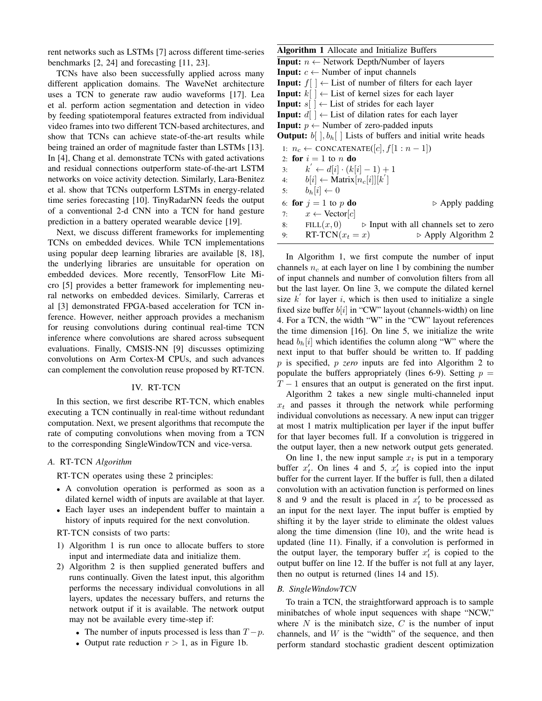rent networks such as LSTMs [7] across different time-series benchmarks [2, 24] and forecasting [11, 23].

TCNs have also been successfully applied across many different application domains. The WaveNet architecture uses a TCN to generate raw audio waveforms [17]. Lea et al. perform action segmentation and detection in video by feeding spatiotemporal features extracted from individual video frames into two different TCN-based architectures, and show that TCNs can achieve state-of-the-art results while being trained an order of magnitude faster than LSTMs [13]. In [4], Chang et al. demonstrate TCNs with gated activations and residual connections outperform state-of-the-art LSTM networks on voice activity detection. Similarly, Lara-Benitez et al. show that TCNs outperform LSTMs in energy-related time series forecasting [10]. TinyRadarNN feeds the output of a conventional 2-d CNN into a TCN for hand gesture prediction in a battery operated wearable device [19].

Next, we discuss different frameworks for implementing TCNs on embedded devices. While TCN implementations using popular deep learning libraries are available [8, 18], the underlying libraries are unsuitable for operation on embedded devices. More recently, TensorFlow Lite Micro [5] provides a better framework for implementing neural networks on embedded devices. Similarly, Carreras et al [3] demonstrated FPGA-based acceleration for TCN inference. However, neither approach provides a mechanism for reusing convolutions during continual real-time TCN inference where convolutions are shared across subsequent evaluations. Finally, CMSIS-NN [9] discusses optimizing convolutions on Arm Cortex-M CPUs, and such advances can complement the convolution reuse proposed by RT-TCN.

#### IV. RT-TCN

In this section, we first describe RT-TCN, which enables executing a TCN continually in real-time without redundant computation. Next, we present algorithms that recompute the rate of computing convolutions when moving from a TCN to the corresponding SingleWindowTCN and vice-versa.

#### *A.* RT-TCN *Algorithm*

RT-TCN operates using these 2 principles:

- A convolution operation is performed as soon as a dilated kernel width of inputs are available at that layer.
- Each layer uses an independent buffer to maintain a history of inputs required for the next convolution.

#### RT-TCN consists of two parts:

- 1) Algorithm 1 is run once to allocate buffers to store input and intermediate data and initialize them.
- 2) Algorithm 2 is then supplied generated buffers and runs continually. Given the latest input, this algorithm performs the necessary individual convolutions in all layers, updates the necessary buffers, and returns the network output if it is available. The network output may not be available every time-step if:
	- The number of inputs processed is less than  $T p$ .
	- Output rate reduction  $r > 1$ , as in Figure 1b.

| <b>Algorithm 1</b> Allocate and Initialize Buffers                             |
|--------------------------------------------------------------------------------|
| <b>Input:</b> $n \leftarrow$ Network Depth/Number of layers                    |
| <b>Input:</b> $c \leftarrow$ Number of input channels                          |
| <b>Input:</b> $f \mid \cdot \cdot$ List of number of filters for each layer    |
| <b>Input:</b> $k[\ ] \leftarrow$ List of kernel sizes for each layer           |
| <b>Input:</b> $s \mid \cdot \mid$ List of strides for each layer               |
| <b>Input:</b> $d \mid \cdot \cdot \cdot$ List of dilation rates for each layer |
| <b>Input:</b> $p \leftarrow$ Number of zero-padded inputs                      |
| <b>Output:</b> $b \mid b_h \mid$ Lists of buffers and initial write heads      |
| 1: $n_c \leftarrow \text{CONCATENATE}([c], f[1:n-1])$                          |
| 2: for $i = 1$ to n do                                                         |
| $k' \leftarrow d[i] \cdot (k[i]-1) + 1$<br>3:                                  |
| $b[i] \leftarrow$ Matrix $[n_c[i]][k']$<br>4:                                  |
| $b_h[i] \leftarrow 0$<br>5:                                                    |
| 6: for $j = 1$ to p do<br>$\triangleright$ Apply padding                       |
| 7: $x \leftarrow \text{Vector}[c]$                                             |
| 8:<br>FILL $(x, 0)$ $\Rightarrow$ Input with all channels set to zero          |
| RT-TCN $(x_t = x)$<br>$\triangleright$ Apply Algorithm 2<br>9:                 |

In Algorithm 1, we first compute the number of input channels  $n_c$  at each layer on line 1 by combining the number of input channels and number of convolution filters from all but the last layer. On line 3, we compute the dilated kernel size  $k'$  for layer i, which is then used to initialize a single fixed size buffer  $b[i]$  in "CW" layout (channels-width) on line 4. For a TCN, the width "W" in the "CW" layout references the time dimension [16]. On line 5, we initialize the write head  $b_h[i]$  which identifies the column along "W" where the next input to that buffer should be written to. If padding p is specified, p *zero* inputs are fed into Algorithm 2 to populate the buffers appropriately (lines 6-9). Setting  $p =$  $T - 1$  ensures that an output is generated on the first input.

Algorithm 2 takes a new single multi-channeled input  $x_t$  and passes it through the network while performing individual convolutions as necessary. A new input can trigger at most 1 matrix multiplication per layer if the input buffer for that layer becomes full. If a convolution is triggered in the output layer, then a new network output gets generated.

On line 1, the new input sample  $x_t$  is put in a temporary buffer  $x'_t$ . On lines 4 and 5,  $x'_t$  is copied into the input buffer for the current layer. If the buffer is full, then a dilated convolution with an activation function is performed on lines 8 and 9 and the result is placed in  $x'_t$  to be processed as an input for the next layer. The input buffer is emptied by shifting it by the layer stride to eliminate the oldest values along the time dimension (line 10), and the write head is updated (line 11). Finally, if a convolution is performed in the output layer, the temporary buffer  $x'_t$  is copied to the output buffer on line 12. If the buffer is not full at any layer, then no output is returned (lines 14 and 15).

#### *B. SingleWindowTCN*

To train a TCN, the straightforward approach is to sample minibatches of whole input sequences with shape "NCW," where  $N$  is the minibatch size,  $C$  is the number of input channels, and  $W$  is the "width" of the sequence, and then perform standard stochastic gradient descent optimization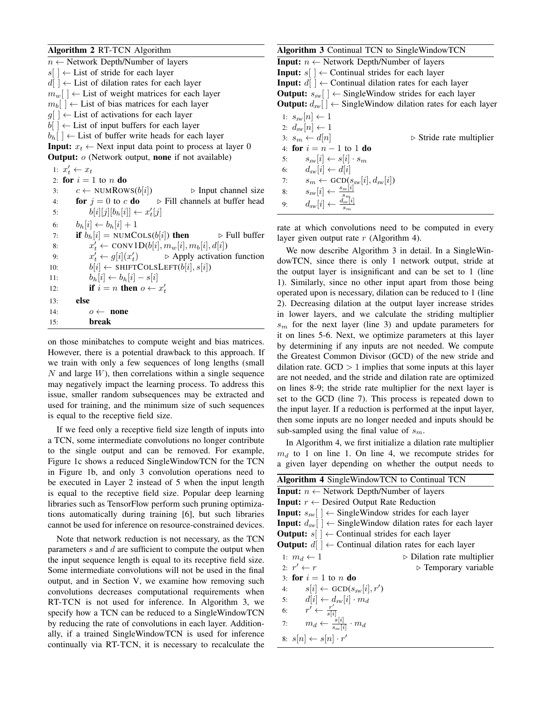| Algorithm 2 RT-TCN Algorithm |  |  |  |
|------------------------------|--|--|--|
|------------------------------|--|--|--|

 $n \leftarrow$  Network Depth/Number of layers  $s$ [ ]  $\leftarrow$  List of stride for each layer  $d[$   $] \leftarrow$  List of dilation rates for each layer  $m_w$ [ ]  $\leftarrow$  List of weight matrices for each layer  $m_b$ [ ]  $\leftarrow$  List of bias matrices for each layer  $g[\ ] \leftarrow$  List of activations for each layer  $b$ [ ]  $\leftarrow$  List of input buffers for each layer  $b_h$ [ ]  $\leftarrow$  List of buffer write heads for each layer **Input:**  $x_t \leftarrow$  Next input data point to process at layer 0 **Output:**  $o$  (Network output, **none** if not available) 1:  $x'_t \leftarrow x_t$ 2: for  $i = 1$  to n do 3:  $c \leftarrow \text{NUMRows}(b[i])$   $\triangleright$  Input channel size 4: **for**  $i = 0$  to c **do**  $\triangleright$  Fill channels at buffer head 5:  $b[i][j][b_h[i]] \leftarrow x'_t[j]$ 6:  $b_h[i] \leftarrow b_h[i] + 1$ 7: if  $b_h[i] = NUMCOLS(b[i])$  then  $\triangleright$  Full buffer 8:  $x'_t \leftarrow \text{CONV1D}(b[i], m_w[i], m_b[i], d[i])$ 9:  $x'_t \leftarrow g[i](x'_t)$  $\triangleright$  Apply activation function 10:  $b[i] \leftarrow \text{SHIFTCOLSLEFT}(b[i], s[i])$ 11:  $b_h[i] \leftarrow b_h[i] - s[i]$ 12: **if**  $i = n$  **then**  $o \leftarrow x'_t$ 13: else 14:  $o \leftarrow \textbf{none}$ 15: break

on those minibatches to compute weight and bias matrices. However, there is a potential drawback to this approach. If we train with only a few sequences of long lengths (small  $N$  and large  $W$ ), then correlations within a single sequence may negatively impact the learning process. To address this issue, smaller random subsequences may be extracted and used for training, and the minimum size of such sequences is equal to the receptive field size.

If we feed only a receptive field size length of inputs into a TCN, some intermediate convolutions no longer contribute to the single output and can be removed. For example, Figure 1c shows a reduced SingleWindowTCN for the TCN in Figure 1b, and only 3 convolution operations need to be executed in Layer 2 instead of 5 when the input length is equal to the receptive field size. Popular deep learning libraries such as TensorFlow perform such pruning optimizations automatically during training [6], but such libraries cannot be used for inference on resource-constrained devices.

Note that network reduction is not necessary, as the TCN parameters  $s$  and  $d$  are sufficient to compute the output when the input sequence length is equal to its receptive field size. Some intermediate convolutions will not be used in the final output, and in Section V, we examine how removing such convolutions decreases computational requirements when RT-TCN is not used for inference. In Algorithm 3, we specify how a TCN can be reduced to a SingleWindowTCN by reducing the rate of convolutions in each layer. Additionally, if a trained SingleWindowTCN is used for inference continually via RT-TCN, it is necessary to recalculate the

| <b>Algorithm 3</b> Continual TCN to SingleWindowTCN                                                                                                               |
|-------------------------------------------------------------------------------------------------------------------------------------------------------------------|
| <b>Input:</b> $n \leftarrow$ Network Depth/Number of layers                                                                                                       |
| <b>Input:</b> $s \mid \cdot \cdot$ Continual strides for each layer                                                                                               |
| <b>Input:</b> $d \mid \cdot \cdot$ Continual dilation rates for each layer                                                                                        |
| <b>Output:</b> $s_{sw}$ $\vert \phi$ + SingleWindow strides for each layer                                                                                        |
| <b>Output:</b> $d_{sw}$ $\vert \phi$ SingleWindow dilation rates for each layer                                                                                   |
| 1: $s_{sw}[n] \leftarrow 1$                                                                                                                                       |
| 2: $d_{sw}[n] \leftarrow 1$                                                                                                                                       |
| $3: s_m \leftarrow d[n]$<br>$\triangleright$ Stride rate multiplier                                                                                               |
| 4: for $i = n - 1$ to 1 do                                                                                                                                        |
| $s_{sw}[i] \leftarrow s[i] \cdot s_m$<br>5:                                                                                                                       |
| $d_{sw}[i] \leftarrow d[i]$<br>6:                                                                                                                                 |
| $s_m \leftarrow \text{GCD}(s_{sw}[i], d_{sw}[i])$<br>7:                                                                                                           |
| 8:                                                                                                                                                                |
| $\begin{array}{c} s_{\mathrm{sw}}[i] \leftarrow \frac{s_{\mathrm{sw}}[i]}{s_m} \\ d_{\mathrm{sw}}[i] \leftarrow \frac{d_{\mathrm{sw}}[i]}{s_m} \end{array}$<br>9: |

rate at which convolutions need to be computed in every layer given output rate  $r$  (Algorithm 4).

We now describe Algorithm 3 in detail. In a SingleWindowTCN, since there is only 1 network output, stride at the output layer is insignificant and can be set to 1 (line 1). Similarly, since no other input apart from those being operated upon is necessary, dilation can be reduced to 1 (line 2). Decreasing dilation at the output layer increase strides in lower layers, and we calculate the striding multiplier  $s<sub>m</sub>$  for the next layer (line 3) and update parameters for it on lines 5-6. Next, we optimize parameters at this layer by determining if any inputs are not needed. We compute the Greatest Common Divisor (GCD) of the new stride and dilation rate.  $GCD > 1$  implies that some inputs at this layer are not needed, and the stride and dilation rate are optimized on lines 8-9; the stride rate multiplier for the next layer is set to the GCD (line 7). This process is repeated down to the input layer. If a reduction is performed at the input layer, then some inputs are no longer needed and inputs should be sub-sampled using the final value of  $s_m$ .

In Algorithm 4, we first initialize a dilation rate multiplier  $m_d$  to 1 on line 1. On line 4, we recompute strides for a given layer depending on whether the output needs to

| <b>Algorithm 4 SingleWindowTCN to Continual TCN</b>                            |                                           |
|--------------------------------------------------------------------------------|-------------------------------------------|
| <b>Input:</b> $n \leftarrow$ Network Depth/Number of layers                    |                                           |
| <b>Input:</b> $r \leftarrow$ Desired Output Rate Reduction                     |                                           |
| <b>Input:</b> $s_{sw}$ $\rightarrow$ SingleWindow strides for each layer       |                                           |
| <b>Input:</b> $d_{sw}$ $\vert \phi$ SingleWindow dilation rates for each layer |                                           |
| <b>Output:</b> $s \mid \cdot \in$ Continual strides for each layer             |                                           |
| <b>Output:</b> $d \mid \cdot \cdot$ Continual dilation rates for each layer    |                                           |
| 1: $m_d \leftarrow 1$                                                          | $\triangleright$ Dilation rate multiplier |
| 2: $r' \leftarrow r$                                                           | $\triangleright$ Temporary variable       |
| 3: for $i = 1$ to n do                                                         |                                           |
| $s[i] \leftarrow \text{GCD}(s_{sw}[i], r')$<br>4:                              |                                           |
| 5: $d[i] \leftarrow d_{sw}[i] \cdot m_d$                                       |                                           |
| $r' \leftarrow \frac{r'}{s[i]}$<br>6:                                          |                                           |
| $m_d \leftarrow \frac{s[i]}{s-[i]} \cdot m_d$<br>7:                            |                                           |
| 8: $s[n] \leftarrow s[n] \cdot r'$                                             |                                           |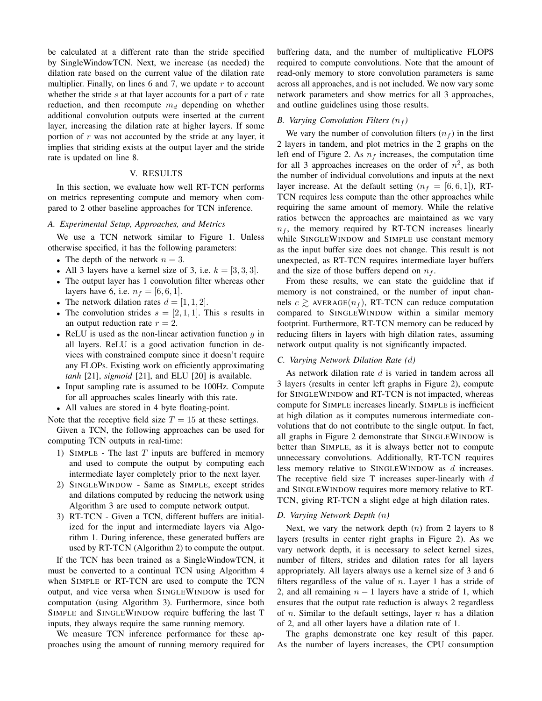be calculated at a different rate than the stride specified by SingleWindowTCN. Next, we increase (as needed) the dilation rate based on the current value of the dilation rate multiplier. Finally, on lines 6 and 7, we update  $r$  to account whether the stride  $s$  at that layer accounts for a part of  $r$  rate reduction, and then recompute  $m_d$  depending on whether additional convolution outputs were inserted at the current layer, increasing the dilation rate at higher layers. If some portion of  $r$  was not accounted by the stride at any layer, it implies that striding exists at the output layer and the stride rate is updated on line 8.

## V. RESULTS

In this section, we evaluate how well RT-TCN performs on metrics representing compute and memory when compared to 2 other baseline approaches for TCN inference.

## *A. Experimental Setup, Approaches, and Metrics*

We use a TCN network similar to Figure 1. Unless otherwise specified, it has the following parameters:

- The depth of the network  $n = 3$ .
- All 3 layers have a kernel size of 3, i.e.  $k = [3, 3, 3]$ .
- The output layer has 1 convolution filter whereas other layers have 6, i.e.  $n_f = [6, 6, 1]$ .
- The network dilation rates  $d = \begin{bmatrix} 1, 1, 2 \end{bmatrix}$ .
- The convolution strides  $s = [2, 1, 1]$ . This s results in an output reduction rate  $r = 2$ .
- ReLU is used as the non-linear activation function  $q$  in all layers. ReLU is a good activation function in devices with constrained compute since it doesn't require any FLOPs. Existing work on efficiently approximating *tanh* [21], *sigmoid* [21], and ELU [20] is available.
- Input sampling rate is assumed to be 100Hz. Compute for all approaches scales linearly with this rate.
- All values are stored in 4 byte floating-point.

Note that the receptive field size  $T = 15$  at these settings. Given a TCN, the following approaches can be used for computing TCN outputs in real-time:

- 1) SIMPLE The last  $T$  inputs are buffered in memory and used to compute the output by computing each intermediate layer completely prior to the next layer.
- 2) SINGLEWINDOW Same as SIMPLE, except strides and dilations computed by reducing the network using Algorithm 3 are used to compute network output.
- 3) RT-TCN Given a TCN, different buffers are initialized for the input and intermediate layers via Algorithm 1. During inference, these generated buffers are used by RT-TCN (Algorithm 2) to compute the output.

If the TCN has been trained as a SingleWindowTCN, it must be converted to a continual TCN using Algorithm 4 when SIMPLE or RT-TCN are used to compute the TCN output, and vice versa when SINGLEWINDOW is used for computation (using Algorithm 3). Furthermore, since both SIMPLE and SINGLEWINDOW require buffering the last T inputs, they always require the same running memory.

We measure TCN inference performance for these approaches using the amount of running memory required for buffering data, and the number of multiplicative FLOPS required to compute convolutions. Note that the amount of read-only memory to store convolution parameters is same across all approaches, and is not included. We now vary some network parameters and show metrics for all 3 approaches, and outline guidelines using those results.

#### *B. Varying Convolution Filters*  $(n_f)$

We vary the number of convolution filters  $(n_f)$  in the first 2 layers in tandem, and plot metrics in the 2 graphs on the left end of Figure 2. As  $n_f$  increases, the computation time for all 3 approaches increases on the order of  $n^2$ , as both the number of individual convolutions and inputs at the next layer increase. At the default setting  $(n_f = [6, 6, 1])$ , RT-TCN requires less compute than the other approaches while requiring the same amount of memory. While the relative ratios between the approaches are maintained as we vary  $n_f$ , the memory required by RT-TCN increases linearly while SINGLEWINDOW and SIMPLE use constant memory as the input buffer size does not change. This result is not unexpected, as RT-TCN requires intermediate layer buffers and the size of those buffers depend on  $n_f$ .

From these results, we can state the guideline that if memory is not constrained, or the number of input channels  $c \geq$  AVERAGE $(n_f)$ , RT-TCN can reduce computation compared to SINGLEWINDOW within a similar memory footprint. Furthermore, RT-TCN memory can be reduced by reducing filters in layers with high dilation rates, assuming network output quality is not significantly impacted.

## *C. Varying Network Dilation Rate (*d*)*

As network dilation rate d is varied in tandem across all 3 layers (results in center left graphs in Figure 2), compute for SINGLEWINDOW and RT-TCN is not impacted, whereas compute for SIMPLE increases linearly. SIMPLE is inefficient at high dilation as it computes numerous intermediate convolutions that do not contribute to the single output. In fact, all graphs in Figure 2 demonstrate that SINGLEWINDOW is better than SIMPLE, as it is always better not to compute unnecessary convolutions. Additionally, RT-TCN requires less memory relative to SINGLEWINDOW as d increases. The receptive field size  $T$  increases super-linearly with  $d$ and SINGLEWINDOW requires more memory relative to RT-TCN, giving RT-TCN a slight edge at high dilation rates.

#### *D. Varying Network Depth (*n*)*

Next, we vary the network depth  $(n)$  from 2 layers to 8 layers (results in center right graphs in Figure 2). As we vary network depth, it is necessary to select kernel sizes, number of filters, strides and dilation rates for all layers appropriately. All layers always use a kernel size of 3 and 6 filters regardless of the value of  $n$ . Layer 1 has a stride of 2, and all remaining  $n - 1$  layers have a stride of 1, which ensures that the output rate reduction is always 2 regardless of *n*. Similar to the default settings, layer *n* has a dilation of 2, and all other layers have a dilation rate of 1.

The graphs demonstrate one key result of this paper. As the number of layers increases, the CPU consumption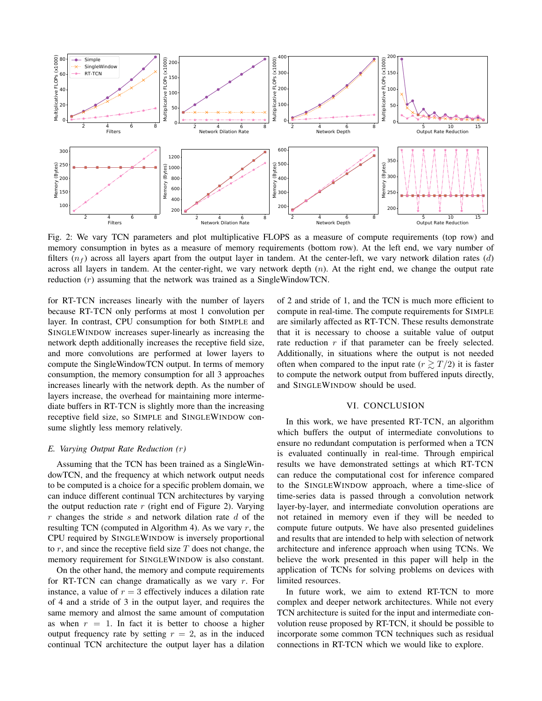

Fig. 2: We vary TCN parameters and plot multiplicative FLOPS as a measure of compute requirements (top row) and memory consumption in bytes as a measure of memory requirements (bottom row). At the left end, we vary number of filters  $(n_f)$  across all layers apart from the output layer in tandem. At the center-left, we vary network dilation rates (d) across all layers in tandem. At the center-right, we vary network depth  $(n)$ . At the right end, we change the output rate reduction (r) assuming that the network was trained as a SingleWindowTCN.

for RT-TCN increases linearly with the number of layers because RT-TCN only performs at most 1 convolution per layer. In contrast, CPU consumption for both SIMPLE and SINGLEWINDOW increases super-linearly as increasing the network depth additionally increases the receptive field size, and more convolutions are performed at lower layers to compute the SingleWindowTCN output. In terms of memory consumption, the memory consumption for all 3 approaches increases linearly with the network depth. As the number of layers increase, the overhead for maintaining more intermediate buffers in RT-TCN is slightly more than the increasing receptive field size, so SIMPLE and SINGLEWINDOW consume slightly less memory relatively.

## *E. Varying Output Rate Reduction (*r*)*

Assuming that the TCN has been trained as a SingleWindowTCN, and the frequency at which network output needs to be computed is a choice for a specific problem domain, we can induce different continual TCN architectures by varying the output reduction rate  $r$  (right end of Figure 2). Varying  $r$  changes the stride  $s$  and network dilation rate  $d$  of the resulting TCN (computed in Algorithm 4). As we vary  $r$ , the CPU required by SINGLEWINDOW is inversely proportional to  $r$ , and since the receptive field size  $T$  does not change, the memory requirement for SINGLEWINDOW is also constant.

On the other hand, the memory and compute requirements for RT-TCN can change dramatically as we vary r. For instance, a value of  $r = 3$  effectively induces a dilation rate of 4 and a stride of 3 in the output layer, and requires the same memory and almost the same amount of computation as when  $r = 1$ . In fact it is better to choose a higher output frequency rate by setting  $r = 2$ , as in the induced continual TCN architecture the output layer has a dilation

of 2 and stride of 1, and the TCN is much more efficient to compute in real-time. The compute requirements for SIMPLE are similarly affected as RT-TCN. These results demonstrate that it is necessary to choose a suitable value of output rate reduction r if that parameter can be freely selected. Additionally, in situations where the output is not needed often when compared to the input rate  $(r \geq T/2)$  it is faster to compute the network output from buffered inputs directly, and SINGLEWINDOW should be used.

#### VI. CONCLUSION

In this work, we have presented RT-TCN, an algorithm which buffers the output of intermediate convolutions to ensure no redundant computation is performed when a TCN is evaluated continually in real-time. Through empirical results we have demonstrated settings at which RT-TCN can reduce the computational cost for inference compared to the SINGLEWINDOW approach, where a time-slice of time-series data is passed through a convolution network layer-by-layer, and intermediate convolution operations are not retained in memory even if they will be needed to compute future outputs. We have also presented guidelines and results that are intended to help with selection of network architecture and inference approach when using TCNs. We believe the work presented in this paper will help in the application of TCNs for solving problems on devices with limited resources.

In future work, we aim to extend RT-TCN to more complex and deeper network architectures. While not every TCN architecture is suited for the input and intermediate convolution reuse proposed by RT-TCN, it should be possible to incorporate some common TCN techniques such as residual connections in RT-TCN which we would like to explore.